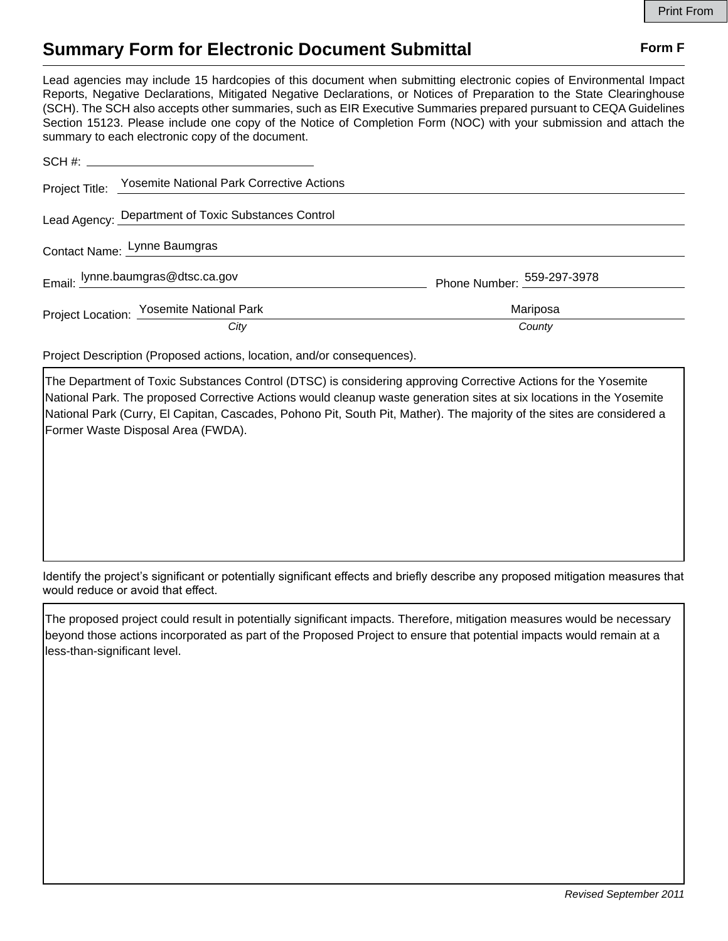## **Summary Form for Electronic Document Submittal Form F Form F**

Lead agencies may include 15 hardcopies of this document when submitting electronic copies of Environmental Impact Reports, Negative Declarations, Mitigated Negative Declarations, or Notices of Preparation to the State Clearinghouse (SCH). The SCH also accepts other summaries, such as EIR Executive Summaries prepared pursuant to CEQA Guidelines Section 15123. Please include one copy of the Notice of Completion Form (NOC) with your submission and attach the summary to each electronic copy of the document.

|  | Project Title: Yosemite National Park Corrective Actions |                            |  |
|--|----------------------------------------------------------|----------------------------|--|
|  | Lead Agency: Department of Toxic Substances Control      |                            |  |
|  | Contact Name: Lynne Baumgras                             |                            |  |
|  | Email: lynne.baumgras@dtsc.ca.gov                        | Phone Number: 559-297-3978 |  |
|  | Project Location: Yosemite National Park                 | Mariposa                   |  |
|  | City                                                     | County                     |  |

Project Description (Proposed actions, location, and/or consequences).

The Department of Toxic Substances Control (DTSC) is considering approving Corrective Actions for the Yosemite National Park. The proposed Corrective Actions would cleanup waste generation sites at six locations in the Yosemite National Park (Curry, El Capitan, Cascades, Pohono Pit, South Pit, Mather). The majority of the sites are considered a Former Waste Disposal Area (FWDA).

Identify the project's significant or potentially significant effects and briefly describe any proposed mitigation measures that would reduce or avoid that effect.

The proposed project could result in potentially significant impacts. Therefore, mitigation measures would be necessary beyond those actions incorporated as part of the Proposed Project to ensure that potential impacts would remain at a less-than-significant level.